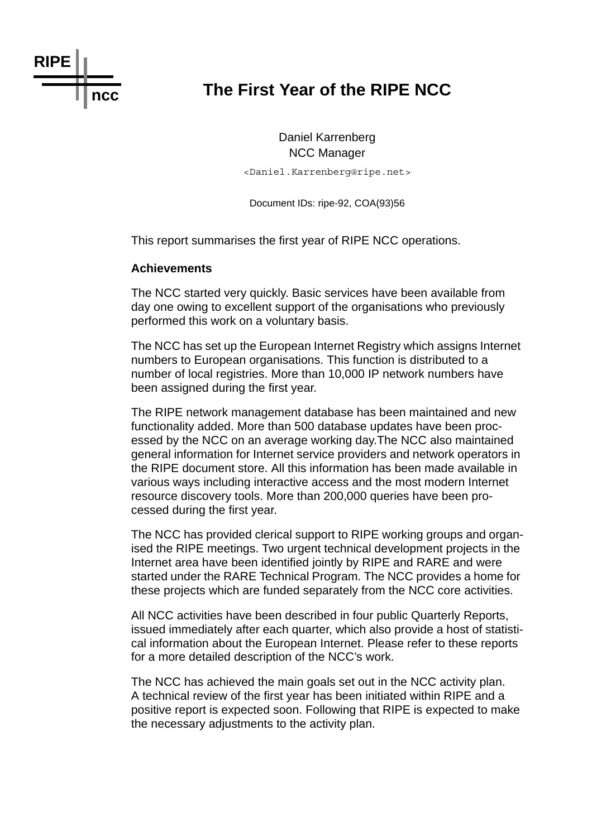

# **ncc The First Year of the RIPE NCC**

Daniel Karrenberg NCC Manager <Daniel.Karrenberg@ripe.net>

Document IDs: ripe-92, COA(93)56

This report summarises the first year of RIPE NCC operations.

#### **Achievements**

The NCC started very quickly. Basic services have been available from day one owing to excellent support of the organisations who previously performed this work on a voluntary basis.

The NCC has set up the European Internet Registry which assigns Internet numbers to European organisations. This function is distributed to a number of local registries. More than 10,000 IP network numbers have been assigned during the first year.

The RIPE network management database has been maintained and new functionality added. More than 500 database updates have been processed by the NCC on an average working day.The NCC also maintained general information for Internet service providers and network operators in the RIPE document store. All this information has been made available in various ways including interactive access and the most modern Internet resource discovery tools. More than 200,000 queries have been processed during the first year.

The NCC has provided clerical support to RIPE working groups and organised the RIPE meetings. Two urgent technical development projects in the Internet area have been identified jointly by RIPE and RARE and were started under the RARE Technical Program. The NCC provides a home for these projects which are funded separately from the NCC core activities.

All NCC activities have been described in four public Quarterly Reports, issued immediately after each quarter, which also provide a host of statistical information about the European Internet. Please refer to these reports for a more detailed description of the NCC's work.

The NCC has achieved the main goals set out in the NCC activity plan. A technical review of the first year has been initiated within RIPE and a positive report is expected soon. Following that RIPE is expected to make the necessary adjustments to the activity plan.